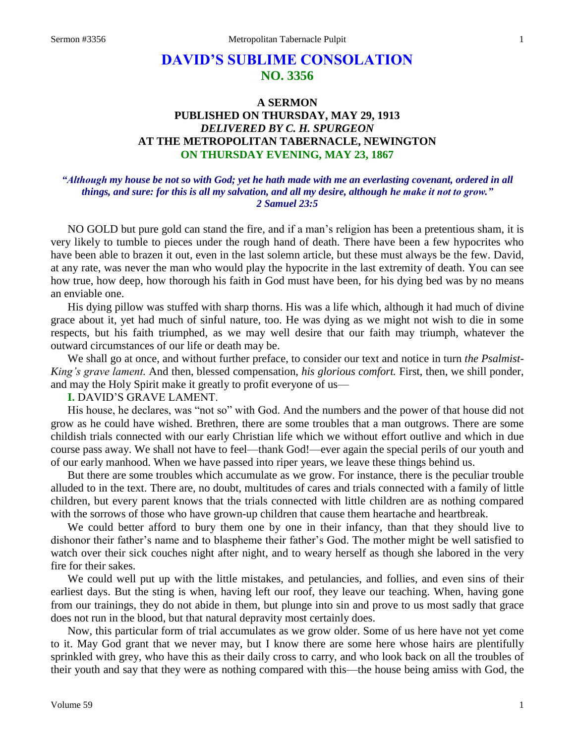# **DAVID'S SUBLIME CONSOLATION NO. 3356**

## **A SERMON PUBLISHED ON THURSDAY, MAY 29, 1913** *DELIVERED BY C. H. SPURGEON* **AT THE METROPOLITAN TABERNACLE, NEWINGTON ON THURSDAY EVENING, MAY 23, 1867**

### *"Although my house be not so with God; yet he hath made with me an everlasting covenant, ordered in all things, and sure: for this is all my salvation, and all my desire, although he make it not to grow." 2 Samuel 23:5*

NO GOLD but pure gold can stand the fire, and if a man's religion has been a pretentious sham, it is very likely to tumble to pieces under the rough hand of death. There have been a few hypocrites who have been able to brazen it out, even in the last solemn article, but these must always be the few. David, at any rate, was never the man who would play the hypocrite in the last extremity of death. You can see how true, how deep, how thorough his faith in God must have been, for his dying bed was by no means an enviable one.

His dying pillow was stuffed with sharp thorns. His was a life which, although it had much of divine grace about it, yet had much of sinful nature, too. He was dying as we might not wish to die in some respects, but his faith triumphed, as we may well desire that our faith may triumph, whatever the outward circumstances of our life or death may be.

We shall go at once, and without further preface, to consider our text and notice in turn *the Psalmist-King's grave lament.* And then, blessed compensation, *his glorious comfort.* First, then, we shill ponder, and may the Holy Spirit make it greatly to profit everyone of us—

#### **I.** DAVID'S GRAVE LAMENT.

His house, he declares, was "not so" with God. And the numbers and the power of that house did not grow as he could have wished. Brethren, there are some troubles that a man outgrows. There are some childish trials connected with our early Christian life which we without effort outlive and which in due course pass away. We shall not have to feel—thank God!—ever again the special perils of our youth and of our early manhood. When we have passed into riper years, we leave these things behind us.

But there are some troubles which accumulate as we grow. For instance, there is the peculiar trouble alluded to in the text. There are, no doubt, multitudes of cares and trials connected with a family of little children, but every parent knows that the trials connected with little children are as nothing compared with the sorrows of those who have grown-up children that cause them heartache and heartbreak.

We could better afford to bury them one by one in their infancy, than that they should live to dishonor their father's name and to blaspheme their father's God. The mother might be well satisfied to watch over their sick couches night after night, and to weary herself as though she labored in the very fire for their sakes.

We could well put up with the little mistakes, and petulancies, and follies, and even sins of their earliest days. But the sting is when, having left our roof, they leave our teaching. When, having gone from our trainings, they do not abide in them, but plunge into sin and prove to us most sadly that grace does not run in the blood, but that natural depravity most certainly does.

Now, this particular form of trial accumulates as we grow older. Some of us here have not yet come to it. May God grant that we never may, but I know there are some here whose hairs are plentifully sprinkled with grey, who have this as their daily cross to carry, and who look back on all the troubles of their youth and say that they were as nothing compared with this—the house being amiss with God, the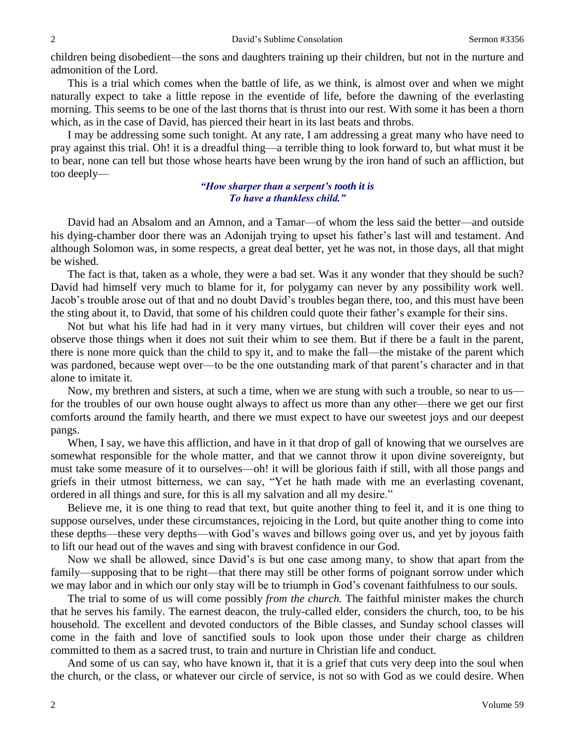children being disobedient—the sons and daughters training up their children, but not in the nurture and admonition of the Lord.

This is a trial which comes when the battle of life, as we think, is almost over and when we might naturally expect to take a little repose in the eventide of life, before the dawning of the everlasting morning. This seems to be one of the last thorns that is thrust into our rest. With some it has been a thorn which, as in the case of David, has pierced their heart in its last beats and throbs.

I may be addressing some such tonight. At any rate, I am addressing a great many who have need to pray against this trial. Oh! it is a dreadful thing—a terrible thing to look forward to, but what must it be to bear, none can tell but those whose hearts have been wrung by the iron hand of such an affliction, but too deeply—

#### *"How sharper than a serpent's tooth it is To have a thankless child."*

David had an Absalom and an Amnon, and a Tamar—of whom the less said the better—and outside his dying-chamber door there was an Adonijah trying to upset his father's last will and testament. And although Solomon was, in some respects, a great deal better, yet he was not, in those days, all that might be wished.

The fact is that, taken as a whole, they were a bad set. Was it any wonder that they should be such? David had himself very much to blame for it, for polygamy can never by any possibility work well. Jacob's trouble arose out of that and no doubt David's troubles began there, too, and this must have been the sting about it, to David, that some of his children could quote their father's example for their sins.

Not but what his life had had in it very many virtues, but children will cover their eyes and not observe those things when it does not suit their whim to see them. But if there be a fault in the parent, there is none more quick than the child to spy it, and to make the fall—the mistake of the parent which was pardoned, because wept over—to be the one outstanding mark of that parent's character and in that alone to imitate it.

Now, my brethren and sisters, at such a time, when we are stung with such a trouble, so near to us for the troubles of our own house ought always to affect us more than any other—there we get our first comforts around the family hearth, and there we must expect to have our sweetest joys and our deepest pangs.

When, I say, we have this affliction, and have in it that drop of gall of knowing that we ourselves are somewhat responsible for the whole matter, and that we cannot throw it upon divine sovereignty, but must take some measure of it to ourselves—oh! it will be glorious faith if still, with all those pangs and griefs in their utmost bitterness, we can say, "Yet he hath made with me an everlasting covenant, ordered in all things and sure, for this is all my salvation and all my desire."

Believe me, it is one thing to read that text, but quite another thing to feel it, and it is one thing to suppose ourselves, under these circumstances, rejoicing in the Lord, but quite another thing to come into these depths—these very depths—with God's waves and billows going over us, and yet by joyous faith to lift our head out of the waves and sing with bravest confidence in our God.

Now we shall be allowed, since David's is but one case among many, to show that apart from the family—supposing that to be right—that there may still be other forms of poignant sorrow under which we may labor and in which our only stay will be to triumph in God's covenant faithfulness to our souls.

The trial to some of us will come possibly *from the church.* The faithful minister makes the church that he serves his family. The earnest deacon, the truly-called elder, considers the church, too, to be his household. The excellent and devoted conductors of the Bible classes, and Sunday school classes will come in the faith and love of sanctified souls to look upon those under their charge as children committed to them as a sacred trust, to train and nurture in Christian life and conduct.

And some of us can say, who have known it, that it is a grief that cuts very deep into the soul when the church, or the class, or whatever our circle of service, is not so with God as we could desire. When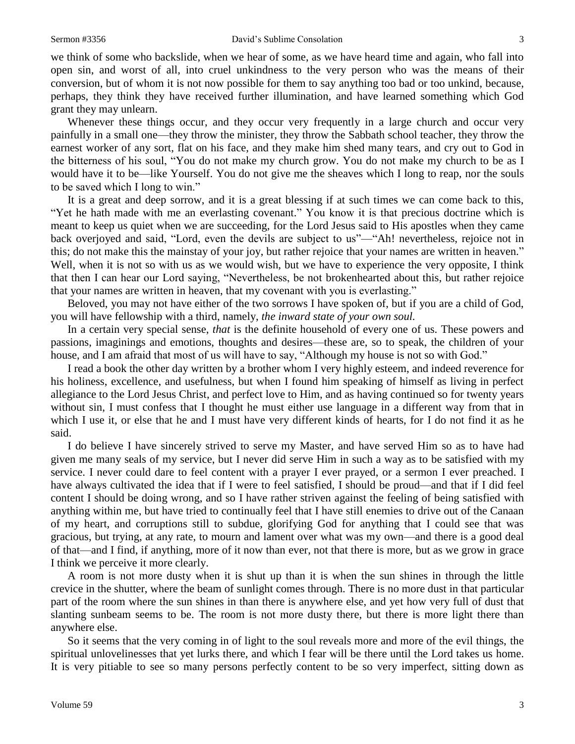we think of some who backslide, when we hear of some, as we have heard time and again, who fall into open sin, and worst of all, into cruel unkindness to the very person who was the means of their conversion, but of whom it is not now possible for them to say anything too bad or too unkind, because, perhaps, they think they have received further illumination, and have learned something which God grant they may unlearn.

Whenever these things occur, and they occur very frequently in a large church and occur very painfully in a small one—they throw the minister, they throw the Sabbath school teacher, they throw the earnest worker of any sort, flat on his face, and they make him shed many tears, and cry out to God in the bitterness of his soul, "You do not make my church grow. You do not make my church to be as I would have it to be—like Yourself. You do not give me the sheaves which I long to reap, nor the souls to be saved which I long to win."

It is a great and deep sorrow, and it is a great blessing if at such times we can come back to this, "Yet he hath made with me an everlasting covenant." You know it is that precious doctrine which is meant to keep us quiet when we are succeeding, for the Lord Jesus said to His apostles when they came back overjoyed and said, "Lord, even the devils are subject to us"—"Ah! nevertheless, rejoice not in this; do not make this the mainstay of your joy, but rather rejoice that your names are written in heaven." Well, when it is not so with us as we would wish, but we have to experience the very opposite, I think that then I can hear our Lord saying, "Nevertheless, be not brokenhearted about this, but rather rejoice that your names are written in heaven, that my covenant with you is everlasting."

Beloved, you may not have either of the two sorrows I have spoken of, but if you are a child of God, you will have fellowship with a third, namely, *the inward state of your own soul.*

In a certain very special sense, *that* is the definite household of every one of us. These powers and passions, imaginings and emotions, thoughts and desires—these are, so to speak, the children of your house, and I am afraid that most of us will have to say, "Although my house is not so with God."

I read a book the other day written by a brother whom I very highly esteem, and indeed reverence for his holiness, excellence, and usefulness, but when I found him speaking of himself as living in perfect allegiance to the Lord Jesus Christ, and perfect love to Him, and as having continued so for twenty years without sin, I must confess that I thought he must either use language in a different way from that in which I use it, or else that he and I must have very different kinds of hearts, for I do not find it as he said.

I do believe I have sincerely strived to serve my Master, and have served Him so as to have had given me many seals of my service, but I never did serve Him in such a way as to be satisfied with my service. I never could dare to feel content with a prayer I ever prayed, or a sermon I ever preached. I have always cultivated the idea that if I were to feel satisfied, I should be proud—and that if I did feel content I should be doing wrong, and so I have rather striven against the feeling of being satisfied with anything within me, but have tried to continually feel that I have still enemies to drive out of the Canaan of my heart, and corruptions still to subdue, glorifying God for anything that I could see that was gracious, but trying, at any rate, to mourn and lament over what was my own—and there is a good deal of that—and I find, if anything, more of it now than ever, not that there is more, but as we grow in grace I think we perceive it more clearly.

A room is not more dusty when it is shut up than it is when the sun shines in through the little crevice in the shutter, where the beam of sunlight comes through. There is no more dust in that particular part of the room where the sun shines in than there is anywhere else, and yet how very full of dust that slanting sunbeam seems to be. The room is not more dusty there, but there is more light there than anywhere else.

So it seems that the very coming in of light to the soul reveals more and more of the evil things, the spiritual unlovelinesses that yet lurks there, and which I fear will be there until the Lord takes us home. It is very pitiable to see so many persons perfectly content to be so very imperfect, sitting down as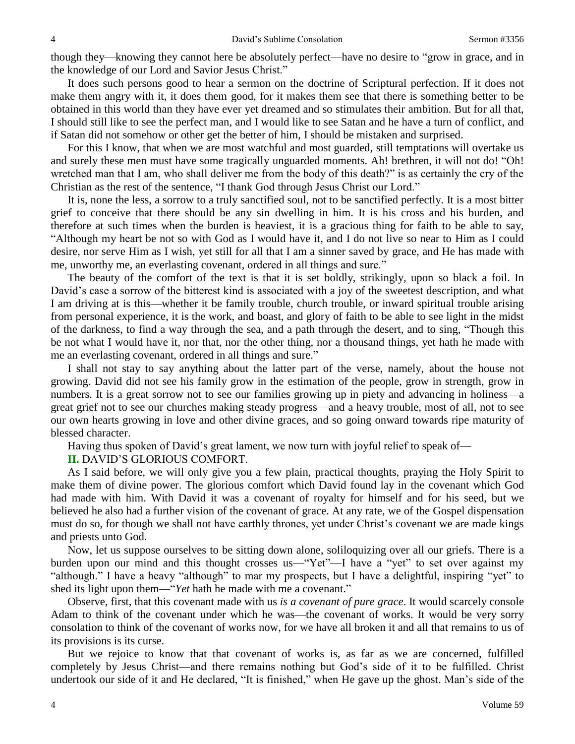though they—knowing they cannot here be absolutely perfect—have no desire to "grow in grace, and in the knowledge of our Lord and Savior Jesus Christ."

It does such persons good to hear a sermon on the doctrine of Scriptural perfection. If it does not make them angry with it, it does them good, for it makes them see that there is something better to be obtained in this world than they have ever yet dreamed and so stimulates their ambition. But for all that, I should still like to see the perfect man, and I would like to see Satan and he have a turn of conflict, and if Satan did not somehow or other get the better of him, I should be mistaken and surprised.

For this I know, that when we are most watchful and most guarded, still temptations will overtake us and surely these men must have some tragically unguarded moments. Ah! brethren, it will not do! "Oh! wretched man that I am, who shall deliver me from the body of this death?" is as certainly the cry of the Christian as the rest of the sentence, "I thank God through Jesus Christ our Lord."

It is, none the less, a sorrow to a truly sanctified soul, not to be sanctified perfectly. It is a most bitter grief to conceive that there should be any sin dwelling in him. It is his cross and his burden, and therefore at such times when the burden is heaviest, it is a gracious thing for faith to be able to say, "Although my heart be not so with God as I would have it, and I do not live so near to Him as I could desire, nor serve Him as I wish, yet still for all that I am a sinner saved by grace, and He has made with me, unworthy me, an everlasting covenant, ordered in all things and sure."

The beauty of the comfort of the text is that it is set boldly, strikingly, upon so black a foil. In David's case a sorrow of the bitterest kind is associated with a joy of the sweetest description, and what I am driving at is this—whether it be family trouble, church trouble, or inward spiritual trouble arising from personal experience, it is the work, and boast, and glory of faith to be able to see light in the midst of the darkness, to find a way through the sea, and a path through the desert, and to sing, "Though this be not what I would have it, nor that, nor the other thing, nor a thousand things, yet hath he made with me an everlasting covenant, ordered in all things and sure."

I shall not stay to say anything about the latter part of the verse, namely, about the house not growing. David did not see his family grow in the estimation of the people, grow in strength, grow in numbers. It is a great sorrow not to see our families growing up in piety and advancing in holiness—a great grief not to see our churches making steady progress—and a heavy trouble, most of all, not to see our own hearts growing in love and other divine graces, and so going onward towards ripe maturity of blessed character.

Having thus spoken of David's great lament, we now turn with joyful relief to speak of—

**II.** DAVID'S GLORIOUS COMFORT.

As I said before, we will only give you a few plain, practical thoughts, praying the Holy Spirit to make them of divine power. The glorious comfort which David found lay in the covenant which God had made with him. With David it was a covenant of royalty for himself and for his seed, but we believed he also had a further vision of the covenant of grace. At any rate, we of the Gospel dispensation must do so, for though we shall not have earthly thrones, yet under Christ's covenant we are made kings and priests unto God.

Now, let us suppose ourselves to be sitting down alone, soliloquizing over all our griefs. There is a burden upon our mind and this thought crosses us—"Yet"—I have a "yet" to set over against my "although." I have a heavy "although" to mar my prospects, but I have a delightful, inspiring "yet" to shed its light upon them—"*Yet* hath he made with me a covenant."

Observe, first, that this covenant made with us *is a covenant of pure grace*. It would scarcely console Adam to think of the covenant under which he was—the covenant of works. It would be very sorry consolation to think of the covenant of works now, for we have all broken it and all that remains to us of its provisions is its curse.

But we rejoice to know that that covenant of works is, as far as we are concerned, fulfilled completely by Jesus Christ—and there remains nothing but God's side of it to be fulfilled. Christ undertook our side of it and He declared, "It is finished," when He gave up the ghost. Man's side of the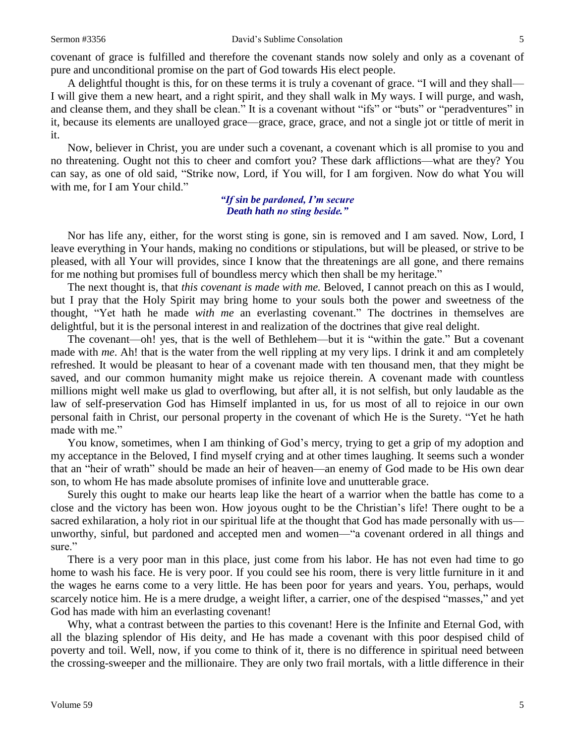covenant of grace is fulfilled and therefore the covenant stands now solely and only as a covenant of pure and unconditional promise on the part of God towards His elect people.

A delightful thought is this, for on these terms it is truly a covenant of grace. "I will and they shall— I will give them a new heart, and a right spirit, and they shall walk in My ways. I will purge, and wash, and cleanse them, and they shall be clean." It is a covenant without "ifs" or "buts" or "peradventures" in it, because its elements are unalloyed grace—grace, grace, grace, and not a single jot or tittle of merit in it.

Now, believer in Christ, you are under such a covenant, a covenant which is all promise to you and no threatening. Ought not this to cheer and comfort you? These dark afflictions—what are they? You can say, as one of old said, "Strike now, Lord, if You will, for I am forgiven. Now do what You will with me, for I am Your child."

#### *"If sin be pardoned, I'm secure Death hath no sting beside."*

Nor has life any, either, for the worst sting is gone, sin is removed and I am saved. Now, Lord, I leave everything in Your hands, making no conditions or stipulations, but will be pleased, or strive to be pleased, with all Your will provides, since I know that the threatenings are all gone, and there remains for me nothing but promises full of boundless mercy which then shall be my heritage."

The next thought is, that *this covenant is made with me.* Beloved, I cannot preach on this as I would, but I pray that the Holy Spirit may bring home to your souls both the power and sweetness of the thought, "Yet hath he made *with me* an everlasting covenant." The doctrines in themselves are delightful, but it is the personal interest in and realization of the doctrines that give real delight.

The covenant—oh! yes, that is the well of Bethlehem—but it is "within the gate." But a covenant made with *me*. Ah! that is the water from the well rippling at my very lips. I drink it and am completely refreshed. It would be pleasant to hear of a covenant made with ten thousand men, that they might be saved, and our common humanity might make us rejoice therein. A covenant made with countless millions might well make us glad to overflowing, but after all, it is not selfish, but only laudable as the law of self-preservation God has Himself implanted in us, for us most of all to rejoice in our own personal faith in Christ, our personal property in the covenant of which He is the Surety. "Yet he hath made with me."

You know, sometimes, when I am thinking of God's mercy, trying to get a grip of my adoption and my acceptance in the Beloved, I find myself crying and at other times laughing. It seems such a wonder that an "heir of wrath" should be made an heir of heaven—an enemy of God made to be His own dear son, to whom He has made absolute promises of infinite love and unutterable grace.

Surely this ought to make our hearts leap like the heart of a warrior when the battle has come to a close and the victory has been won. How joyous ought to be the Christian's life! There ought to be a sacred exhilaration, a holy riot in our spiritual life at the thought that God has made personally with us unworthy, sinful, but pardoned and accepted men and women—"a covenant ordered in all things and sure."

There is a very poor man in this place, just come from his labor. He has not even had time to go home to wash his face. He is very poor. If you could see his room, there is very little furniture in it and the wages he earns come to a very little. He has been poor for years and years. You, perhaps, would scarcely notice him. He is a mere drudge, a weight lifter, a carrier, one of the despised "masses," and yet God has made with him an everlasting covenant!

Why, what a contrast between the parties to this covenant! Here is the Infinite and Eternal God, with all the blazing splendor of His deity, and He has made a covenant with this poor despised child of poverty and toil. Well, now, if you come to think of it, there is no difference in spiritual need between the crossing-sweeper and the millionaire. They are only two frail mortals, with a little difference in their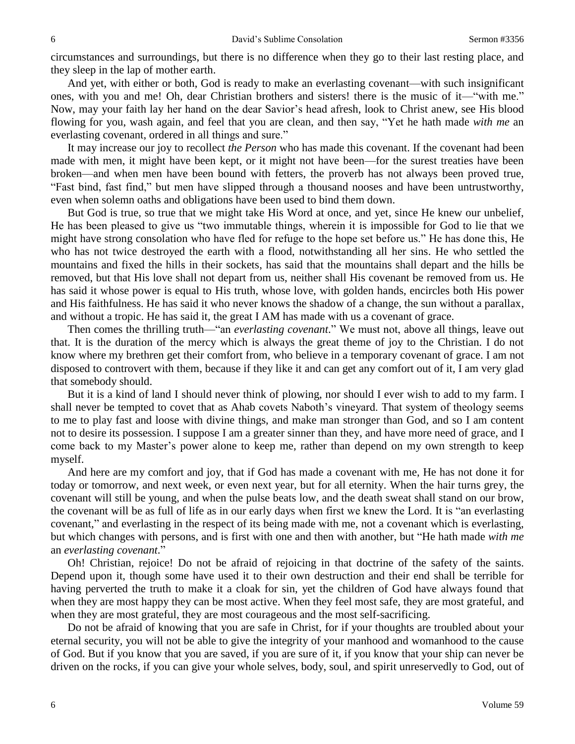circumstances and surroundings, but there is no difference when they go to their last resting place, and they sleep in the lap of mother earth.

And yet, with either or both, God is ready to make an everlasting covenant—with such insignificant ones, with you and me! Oh, dear Christian brothers and sisters! there is the music of it—"with me." Now, may your faith lay her hand on the dear Savior's head afresh, look to Christ anew, see His blood flowing for you, wash again, and feel that you are clean, and then say, "Yet he hath made *with me* an everlasting covenant, ordered in all things and sure."

It may increase our joy to recollect *the Person* who has made this covenant. If the covenant had been made with men, it might have been kept, or it might not have been—for the surest treaties have been broken—and when men have been bound with fetters, the proverb has not always been proved true, "Fast bind, fast find," but men have slipped through a thousand nooses and have been untrustworthy, even when solemn oaths and obligations have been used to bind them down.

But God is true, so true that we might take His Word at once, and yet, since He knew our unbelief, He has been pleased to give us "two immutable things, wherein it is impossible for God to lie that we might have strong consolation who have fled for refuge to the hope set before us." He has done this, He who has not twice destroyed the earth with a flood, notwithstanding all her sins. He who settled the mountains and fixed the hills in their sockets, has said that the mountains shall depart and the hills be removed, but that His love shall not depart from us, neither shall His covenant be removed from us. He has said it whose power is equal to His truth, whose love, with golden hands, encircles both His power and His faithfulness. He has said it who never knows the shadow of a change, the sun without a parallax, and without a tropic. He has said it, the great I AM has made with us a covenant of grace.

Then comes the thrilling truth—"an *everlasting covenant*." We must not, above all things, leave out that. It is the duration of the mercy which is always the great theme of joy to the Christian. I do not know where my brethren get their comfort from, who believe in a temporary covenant of grace. I am not disposed to controvert with them, because if they like it and can get any comfort out of it, I am very glad that somebody should.

But it is a kind of land I should never think of plowing, nor should I ever wish to add to my farm. I shall never be tempted to covet that as Ahab covets Naboth's vineyard. That system of theology seems to me to play fast and loose with divine things, and make man stronger than God, and so I am content not to desire its possession. I suppose I am a greater sinner than they, and have more need of grace, and I come back to my Master's power alone to keep me, rather than depend on my own strength to keep myself.

And here are my comfort and joy, that if God has made a covenant with me, He has not done it for today or tomorrow, and next week, or even next year, but for all eternity. When the hair turns grey, the covenant will still be young, and when the pulse beats low, and the death sweat shall stand on our brow, the covenant will be as full of life as in our early days when first we knew the Lord. It is "an everlasting covenant," and everlasting in the respect of its being made with me, not a covenant which is everlasting, but which changes with persons, and is first with one and then with another, but "He hath made *with me*  an *everlasting covenant*."

Oh! Christian, rejoice! Do not be afraid of rejoicing in that doctrine of the safety of the saints. Depend upon it, though some have used it to their own destruction and their end shall be terrible for having perverted the truth to make it a cloak for sin, yet the children of God have always found that when they are most happy they can be most active. When they feel most safe, they are most grateful, and when they are most grateful, they are most courageous and the most self-sacrificing.

Do not be afraid of knowing that you are safe in Christ, for if your thoughts are troubled about your eternal security, you will not be able to give the integrity of your manhood and womanhood to the cause of God. But if you know that you are saved, if you are sure of it, if you know that your ship can never be driven on the rocks, if you can give your whole selves, body, soul, and spirit unreservedly to God, out of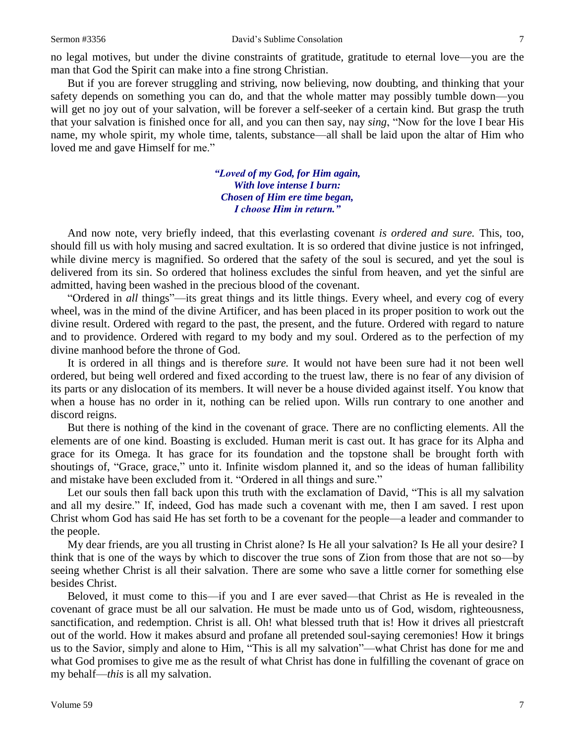no legal motives, but under the divine constraints of gratitude, gratitude to eternal love—you are the man that God the Spirit can make into a fine strong Christian.

But if you are forever struggling and striving, now believing, now doubting, and thinking that your safety depends on something you can do, and that the whole matter may possibly tumble down—you will get no joy out of your salvation, will be forever a self-seeker of a certain kind. But grasp the truth that your salvation is finished once for all, and you can then say, nay *sing*, "Now for the love I bear His name, my whole spirit, my whole time, talents, substance—all shall be laid upon the altar of Him who loved me and gave Himself for me."

> *"Loved of my God, for Him again, With love intense I burn: Chosen of Him ere time began, I choose Him in return."*

And now note, very briefly indeed, that this everlasting covenant *is ordered and sure.* This, too, should fill us with holy musing and sacred exultation. It is so ordered that divine justice is not infringed, while divine mercy is magnified. So ordered that the safety of the soul is secured, and yet the soul is delivered from its sin. So ordered that holiness excludes the sinful from heaven, and yet the sinful are admitted, having been washed in the precious blood of the covenant.

"Ordered in *all* things"—its great things and its little things. Every wheel, and every cog of every wheel, was in the mind of the divine Artificer, and has been placed in its proper position to work out the divine result. Ordered with regard to the past, the present, and the future. Ordered with regard to nature and to providence. Ordered with regard to my body and my soul. Ordered as to the perfection of my divine manhood before the throne of God.

It is ordered in all things and is therefore *sure.* It would not have been sure had it not been well ordered, but being well ordered and fixed according to the truest law, there is no fear of any division of its parts or any dislocation of its members. It will never be a house divided against itself. You know that when a house has no order in it, nothing can be relied upon. Wills run contrary to one another and discord reigns.

But there is nothing of the kind in the covenant of grace. There are no conflicting elements. All the elements are of one kind. Boasting is excluded. Human merit is cast out. It has grace for its Alpha and grace for its Omega. It has grace for its foundation and the topstone shall be brought forth with shoutings of, "Grace, grace," unto it. Infinite wisdom planned it, and so the ideas of human fallibility and mistake have been excluded from it. "Ordered in all things and sure."

Let our souls then fall back upon this truth with the exclamation of David, "This is all my salvation and all my desire." If, indeed, God has made such a covenant with me, then I am saved. I rest upon Christ whom God has said He has set forth to be a covenant for the people—a leader and commander to the people.

My dear friends, are you all trusting in Christ alone? Is He all your salvation? Is He all your desire? I think that is one of the ways by which to discover the true sons of Zion from those that are not so—by seeing whether Christ is all their salvation. There are some who save a little corner for something else besides Christ.

Beloved, it must come to this—if you and I are ever saved—that Christ as He is revealed in the covenant of grace must be all our salvation. He must be made unto us of God, wisdom, righteousness, sanctification, and redemption. Christ is all. Oh! what blessed truth that is! How it drives all priestcraft out of the world. How it makes absurd and profane all pretended soul-saying ceremonies! How it brings us to the Savior, simply and alone to Him, "This is all my salvation"—what Christ has done for me and what God promises to give me as the result of what Christ has done in fulfilling the covenant of grace on my behalf—*this* is all my salvation.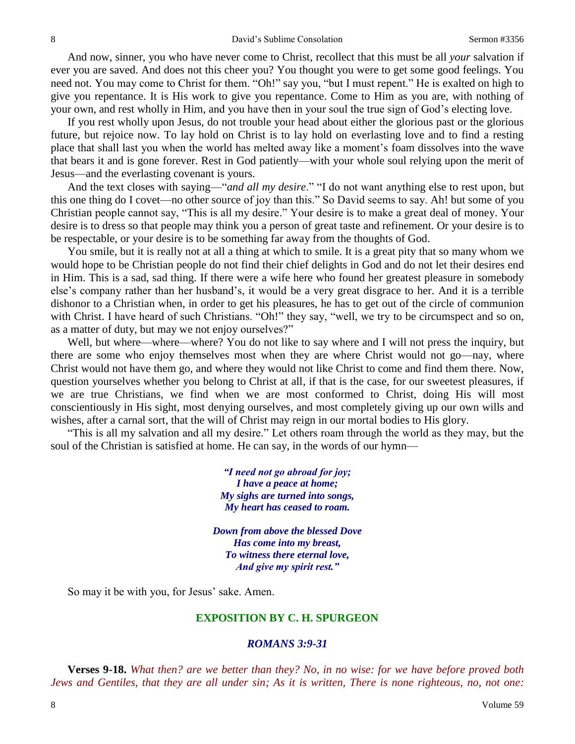And now, sinner, you who have never come to Christ, recollect that this must be all *your* salvation if ever you are saved. And does not this cheer you? You thought you were to get some good feelings. You need not. You may come to Christ for them. "Oh!" say you, "but I must repent." He is exalted on high to give you repentance. It is His work to give you repentance. Come to Him as you are, with nothing of your own, and rest wholly in Him, and you have then in your soul the true sign of God's electing love.

If you rest wholly upon Jesus, do not trouble your head about either the glorious past or the glorious future, but rejoice now. To lay hold on Christ is to lay hold on everlasting love and to find a resting place that shall last you when the world has melted away like a moment's foam dissolves into the wave that bears it and is gone forever. Rest in God patiently—with your whole soul relying upon the merit of Jesus—and the everlasting covenant is yours.

And the text closes with saying—"*and all my desire*." "I do not want anything else to rest upon, but this one thing do I covet—no other source of joy than this." So David seems to say. Ah! but some of you Christian people cannot say, "This is all my desire." Your desire is to make a great deal of money. Your desire is to dress so that people may think you a person of great taste and refinement. Or your desire is to be respectable, or your desire is to be something far away from the thoughts of God.

You smile, but it is really not at all a thing at which to smile. It is a great pity that so many whom we would hope to be Christian people do not find their chief delights in God and do not let their desires end in Him. This is a sad, sad thing. If there were a wife here who found her greatest pleasure in somebody else's company rather than her husband's, it would be a very great disgrace to her. And it is a terrible dishonor to a Christian when, in order to get his pleasures, he has to get out of the circle of communion with Christ. I have heard of such Christians. "Oh!" they say, "well, we try to be circumspect and so on, as a matter of duty, but may we not enjoy ourselves?"

Well, but where—where—where? You do not like to say where and I will not press the inquiry, but there are some who enjoy themselves most when they are where Christ would not go—nay, where Christ would not have them go, and where they would not like Christ to come and find them there. Now, question yourselves whether you belong to Christ at all, if that is the case, for our sweetest pleasures, if we are true Christians, we find when we are most conformed to Christ, doing His will most conscientiously in His sight, most denying ourselves, and most completely giving up our own wills and wishes, after a carnal sort, that the will of Christ may reign in our mortal bodies to His glory.

"This is all my salvation and all my desire." Let others roam through the world as they may, but the soul of the Christian is satisfied at home. He can say, in the words of our hymn—

> *"I need not go abroad for joy; I have a peace at home; My sighs are turned into songs, My heart has ceased to roam.*

*Down from above the blessed Dove Has come into my breast, To witness there eternal love, And give my spirit rest."*

So may it be with you, for Jesus' sake. Amen.

#### **EXPOSITION BY C. H. SPURGEON**

#### *ROMANS 3:9-31*

**Verses 9-18.** *What then? are we better than they? No, in no wise: for we have before proved both Jews and Gentiles, that they are all under sin; As it is written, There is none righteous, no, not one:*